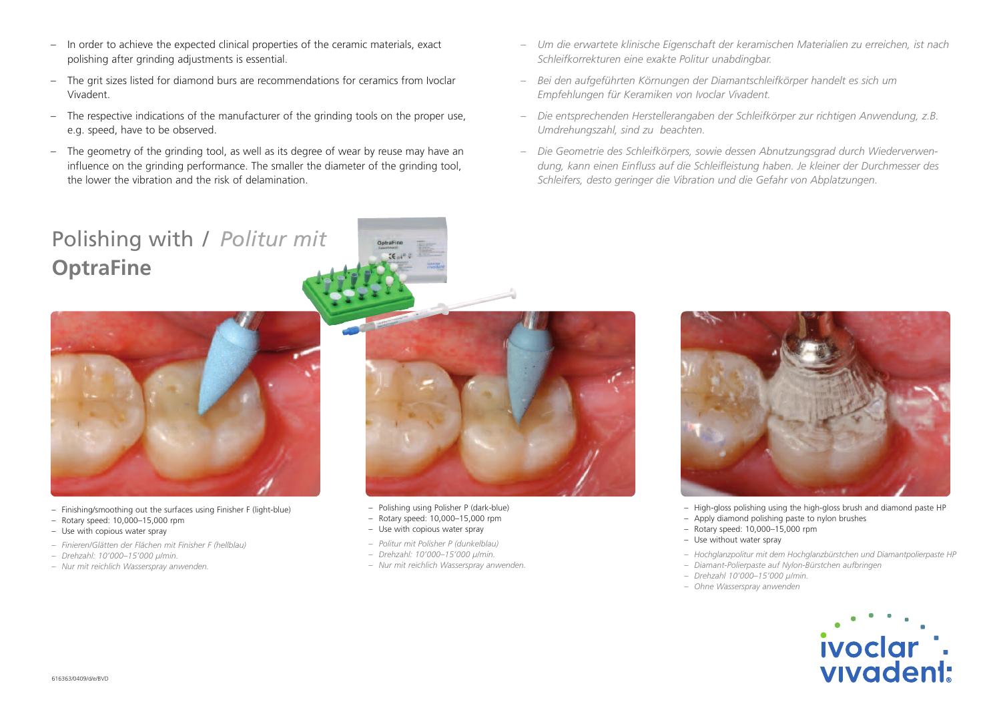- In order to achieve the expected clinical properties of the ceramic materials, exact polishing after grinding adjustments is essential.
- The grit sizes listed for diamond burs are recommendations for ceramics from Ivoclar Vivadent.
- The respective indications of the manufacturer of the grinding tools on the proper use, e.g. speed, have to be observed.
- The geometry of the grinding tool, as well as its degree of wear by reuse may have an influence on the grinding performance. The smaller the diameter of the grinding tool, the lower the vibration and the risk of delamination.
- *– Um die erwartete klinische Eigenschaft der keramischen Materialien zu erreichen, ist nach Schleifkorrekturen eine exakte Politur unabdingbar.*
- *– Bei den aufgeführten Körnungen der Diamantschleifkörper handelt es sich um Empfehlungen für Keramiken von Ivoclar Vivadent.*
- *– Die entsprechenden Herstellerangaben der Schleifkörper zur richtigen Anwendung, z.B. Umdrehungszahl, sind zu beachten.*
- *– Die Geometrie des Schleifkörpers, sowie dessen Abnutzungsgrad durch Wiederverwendung, kann einen Einfluss auf die Schleifleistung haben. Je kleiner der Durchmesser des Schleifers, desto geringer die Vibration und die Gefahr von Abplatzungen.*

## Polishing with / *Politur mit* **OptraFine**



- Finishing/smoothing out the surfaces using Finisher F (light-blue)
- Rotary speed: 10,000–15,000 rpm
- Use with copious water spray
- *– Finieren/Glätten der Flächen mit Finisher F (hellblau)*
- *– Drehzahl: 10'000–15'000 µ/min.*
- *– Nur mit reichlich Wasserspray anwenden.*



- Polishing using Polisher P (dark-blue)
- Rotary speed: 10,000–15,000 rpm
- Use with copious water spray
- *– Politur mit Polisher P (dunkelblau)*
- *– Drehzahl: 10'000–15'000 µ/min.*
- *– Nur mit reichlich Wasserspray anwenden.*



- High-gloss polishing using the high-gloss brush and diamond paste HP
- Apply diamond polishing paste to nylon brushes
- Rotary speed: 10,000–15,000 rpm
- Use without water spray
- *– Hochglanzpolitur mit dem Hochglanzbürstchen und Diamantpolierpaste HP*
- *– Diamant-Polierpaste auf Nylon-Bürstchen aufbringen*
- *– Drehzahl 10'000–15'000 µ/min.*
- *– Ohne Wasserspray anwenden*